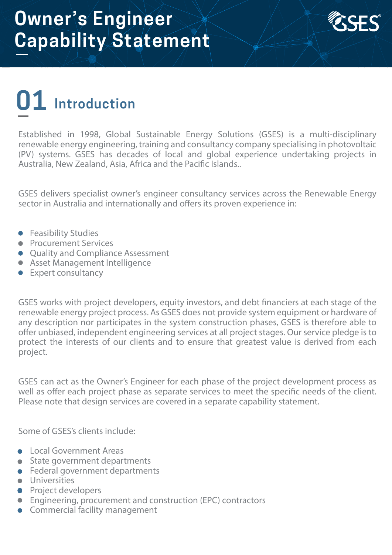

### **01 Introduction**

Established in 1998, Global Sustainable Energy Solutions (GSES) is a multi‐disciplinary renewable energy engineering, training and consultancy company specialising in photovoltaic (PV) systems. GSES has decades of local and global experience undertaking projects in Australia, New Zealand, Asia, Africa and the Pacific Islands..

GSES delivers specialist owner's engineer consultancy services across the Renewable Energy sector in Australia and internationally and offers its proven experience in:

- **•** Feasibility Studies
- Procurement Services
- Ouality and Compliance Assessment
- **Asset Management Intelligence**
- Expert consultancy

GSES works with project developers, equity investors, and debt financiers at each stage of the renewable energy project process. As GSES does not provide system equipment or hardware of any description nor participates in the system construction phases, GSES is therefore able to offer unbiased, independent engineering services at all project stages. Our service pledge is to protect the interests of our clients and to ensure that greatest value is derived from each project.

GSES can act as the Owner's Engineer for each phase of the project development process as well as offer each project phase as separate services to meet the specific needs of the client. Please note that design services are covered in a separate capability statement.

Some of GSES's clients include:

- **Local Government Areas**
- State government departments
- **•** Federal government departments
- **·** Universities
- **•** Project developers
- Engineering, procurement and construction (EPC) contractors
- **Commercial facility management**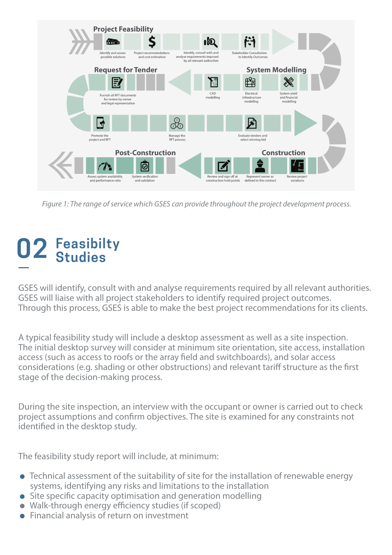

*Figure 1: The range of service which GSES can provide throughout the project development process.*

# **02 Feasibilty Studies**

GSES will identify, consult with and analyse requirements required by all relevant authorities. GSES will liaise with all project stakeholders to identify required project outcomes. Through this process, GSES is able to make the best project recommendations for its clients.

A typical feasibility study will include a desktop assessment as well as a site inspection. The initial desktop survey will consider at minimum site orientation, site access, installation access (such as access to roofs or the array field and switchboards), and solar access considerations (e.g. shading or other obstructions) and relevant tariff structure as the first stage of the decision-making process.

During the site inspection, an interview with the occupant or owner is carried out to check project assumptions and confirm objectives. The site is examined for any constraints not identified in the desktop study.

The feasibility study report will include, at minimum:

- Technical assessment of the suitability of site for the installation of renewable energy systems, identifying any risks and limitations to the installation
- $\bullet$  Site specific capacity optimisation and generation modelling
- $\bullet$  Walk-through energy efficiency studies (if scoped)
- Financial analysis of return on investment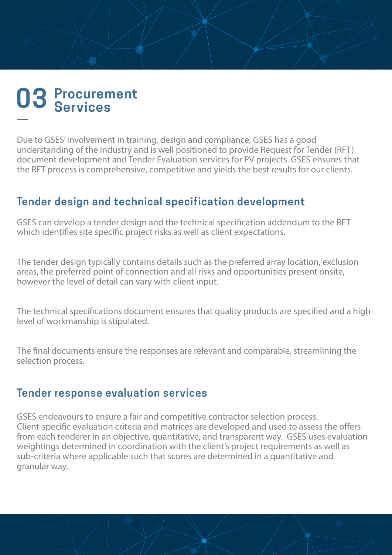### **03 Procurement Services**

Due to GSES' involvement in training, design and compliance, GSES has a good understanding of the industry and is well positioned to provide Request for Tender (RFT) document development and Tender Evaluation services for PV projects. GSES ensures that the RFT process is comprehensive, competitive and yields the best results for our clients.

#### **Tender design and technical specification development**

GSES can develop a tender design and the technical specification addendum to the RFT which identifies site specific project risks as well as client expectations.

The tender design typically contains details such as the preferred array location, exclusion areas, the preferred point of connection and all risks and opportunities present onsite, however the level of detail can vary with client input.

The technical specifications document ensures that quality products are specified and a high level of workmanship is stipulated.

The final documents ensure the responses are relevant and comparable, streamlining the selection process.

#### **Tender response evaluation services**

GSES endeavours to ensure a fair and competitive contractor selection process. Client-specific evaluation criteria and matrices are developed and used to assess the offers from each tenderer in an objective, quantitative, and transparent way. GSES uses evaluation weightings determined in coordination with the client's project requirements as well as sub-criteria where applicable such that scores are determined in a quantitative and granular way.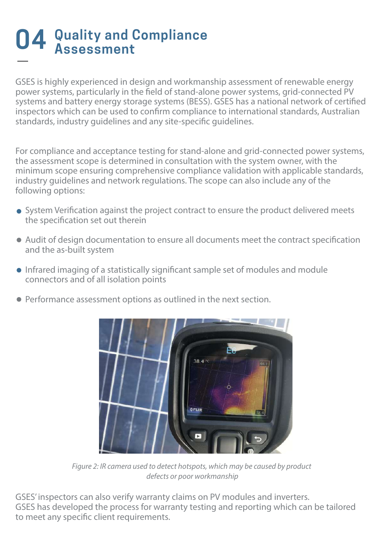# **04 Quality and Compliance Assessment**

GSES is highly experienced in design and workmanship assessment of renewable energy power systems, particularly in the field of stand-alone power systems, grid-connected PV systems and battery energy storage systems (BESS). GSES has a national network of certified inspectors which can be used to confirm compliance to international standards, Australian standards, industry quidelines and any site-specific quidelines.

For compliance and acceptance testing for stand-alone and grid-connected power systems, the assessment scope is determined in consultation with the system owner, with the minimum scope ensuring comprehensive compliance validation with applicable standards, industry guidelines and network regulations. The scope can also include any of the following options:

- System Verification against the project contract to ensure the product delivered meets the specification set out therein
- Audit of design documentation to ensure all documents meet the contract specification and the as-built system
- Infrared imaging of a statistically significant sample set of modules and module connectors and of all isolation points
- Performance assessment options as outlined in the next section.



*Figure 2: IR camera used to detect hotspots, which may be caused by product defects or poor workmanship*

GSES' inspectors can also verify warranty claims on PV modules and inverters. GSES has developed the process for warranty testing and reporting which can be tailored to meet any specific client requirements.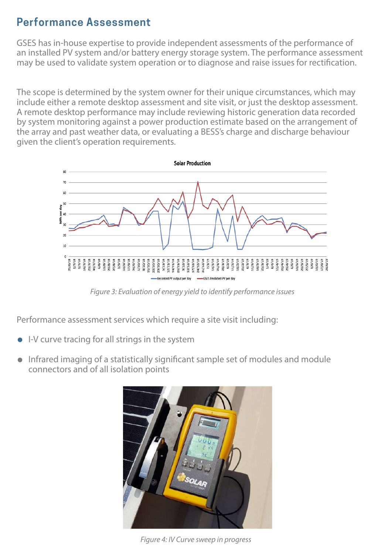#### **Performance Assessment**

GSES has in-house expertise to provide independent assessments of the performance of an installed PV system and/or battery energy storage system. The performance assessment may be used to validate system operation or to diagnose and raise issues for rectification.

The scope is determined by the system owner for their unique circumstances, which may include either a remote desktop assessment and site visit, or just the desktop assessment. A remote desktop performance may include reviewing historic generation data recorded by system monitoring against a power production estimate based on the arrangement of the array and past weather data, or evaluating a BESS's charge and discharge behaviour given the client's operation requirements.



*Figure 3: Evaluation of energy yield to identify performance issues*

Performance assessment services which require a site visit including:

- I-V curve tracing for all strings in the system
- Infrared imaging of a statistically significant sample set of modules and module connectors and of all isolation points



*Figure 4: IV Curve sweep in progress*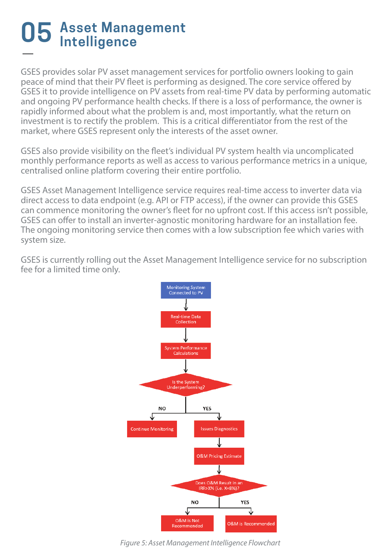# **05 Asset Management Intelligence**

GSES provides solar PV asset management services for portfolio owners looking to gain peace of mind that their PV fleet is performing as designed. The core service offered by GSES it to provide intelligence on PV assets from real-time PV data by performing automatic and ongoing PV performance health checks. If there is a loss of performance, the owner is rapidly informed about what the problem is and, most importantly, what the return on investment is to rectify the problem. This is a critical differentiator from the rest of the market, where GSES represent only the interests of the asset owner.

GSES also provide visibility on the fleet's individual PV system health via uncomplicated monthly performance reports as well as access to various performance metrics in a unique, centralised online platform covering their entire portfolio.

GSES Asset Management Intelligence service requires real-time access to inverter data via direct access to data endpoint (e.g. API or FTP access), if the owner can provide this GSES can commence monitoring the owner's fleet for no upfront cost. If this access isn't possible, GSES can offer to install an inverter-agnostic monitoring hardware for an installation fee. The ongoing monitoring service then comes with a low subscription fee which varies with system size.

GSES is currently rolling out the Asset Management Intelligence service for no subscription fee for a limited time only.



*Figure 5: Asset Management Intelligence Flowchart*